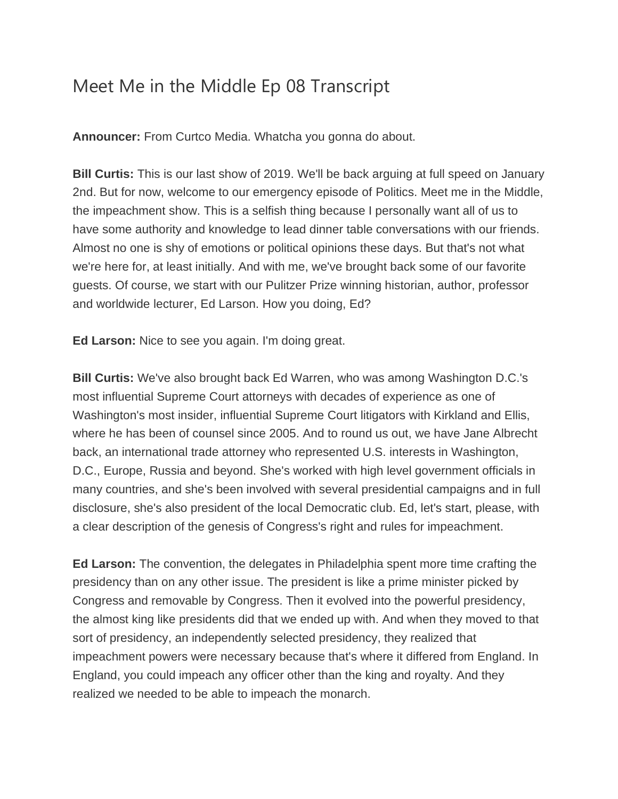## Meet Me in the Middle Ep 08 Transcript

**Announcer:** From Curtco Media. Whatcha you gonna do about.

**Bill Curtis:** This is our last show of 2019. We'll be back arguing at full speed on January 2nd. But for now, welcome to our emergency episode of Politics. Meet me in the Middle, the impeachment show. This is a selfish thing because I personally want all of us to have some authority and knowledge to lead dinner table conversations with our friends. Almost no one is shy of emotions or political opinions these days. But that's not what we're here for, at least initially. And with me, we've brought back some of our favorite guests. Of course, we start with our Pulitzer Prize winning historian, author, professor and worldwide lecturer, Ed Larson. How you doing, Ed?

**Ed Larson:** Nice to see you again. I'm doing great.

**Bill Curtis:** We've also brought back Ed Warren, who was among Washington D.C.'s most influential Supreme Court attorneys with decades of experience as one of Washington's most insider, influential Supreme Court litigators with Kirkland and Ellis, where he has been of counsel since 2005. And to round us out, we have Jane Albrecht back, an international trade attorney who represented U.S. interests in Washington, D.C., Europe, Russia and beyond. She's worked with high level government officials in many countries, and she's been involved with several presidential campaigns and in full disclosure, she's also president of the local Democratic club. Ed, let's start, please, with a clear description of the genesis of Congress's right and rules for impeachment.

**Ed Larson:** The convention, the delegates in Philadelphia spent more time crafting the presidency than on any other issue. The president is like a prime minister picked by Congress and removable by Congress. Then it evolved into the powerful presidency, the almost king like presidents did that we ended up with. And when they moved to that sort of presidency, an independently selected presidency, they realized that impeachment powers were necessary because that's where it differed from England. In England, you could impeach any officer other than the king and royalty. And they realized we needed to be able to impeach the monarch.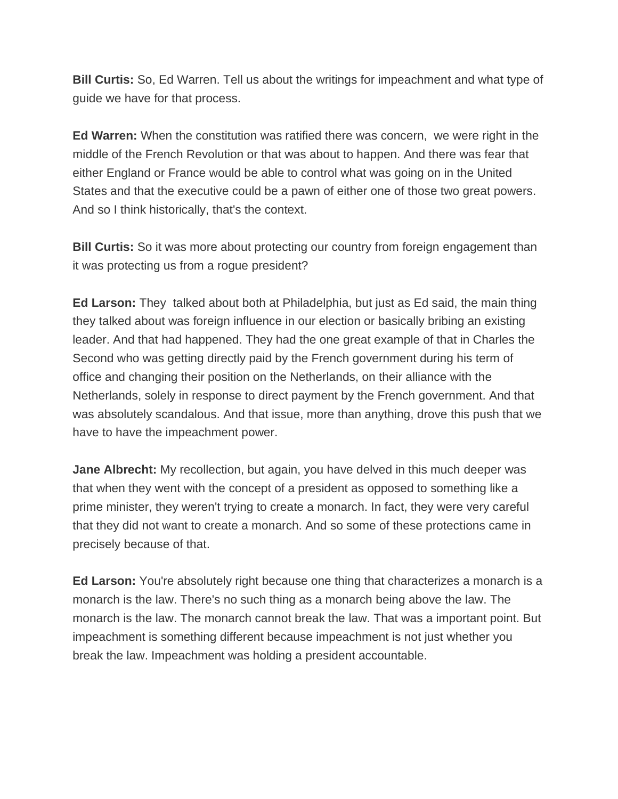**Bill Curtis:** So, Ed Warren. Tell us about the writings for impeachment and what type of guide we have for that process.

**Ed Warren:** When the constitution was ratified there was concern, we were right in the middle of the French Revolution or that was about to happen. And there was fear that either England or France would be able to control what was going on in the United States and that the executive could be a pawn of either one of those two great powers. And so I think historically, that's the context.

**Bill Curtis:** So it was more about protecting our country from foreign engagement than it was protecting us from a rogue president?

**Ed Larson:** They talked about both at Philadelphia, but just as Ed said, the main thing they talked about was foreign influence in our election or basically bribing an existing leader. And that had happened. They had the one great example of that in Charles the Second who was getting directly paid by the French government during his term of office and changing their position on the Netherlands, on their alliance with the Netherlands, solely in response to direct payment by the French government. And that was absolutely scandalous. And that issue, more than anything, drove this push that we have to have the impeachment power.

**Jane Albrecht:** My recollection, but again, you have delved in this much deeper was that when they went with the concept of a president as opposed to something like a prime minister, they weren't trying to create a monarch. In fact, they were very careful that they did not want to create a monarch. And so some of these protections came in precisely because of that.

**Ed Larson:** You're absolutely right because one thing that characterizes a monarch is a monarch is the law. There's no such thing as a monarch being above the law. The monarch is the law. The monarch cannot break the law. That was a important point. But impeachment is something different because impeachment is not just whether you break the law. Impeachment was holding a president accountable.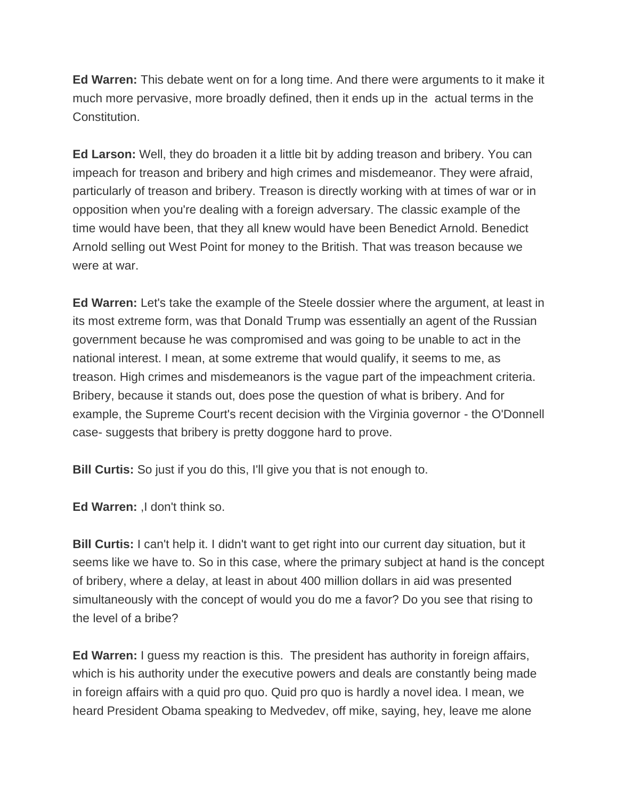**Ed Warren:** This debate went on for a long time. And there were arguments to it make it much more pervasive, more broadly defined, then it ends up in the actual terms in the Constitution.

**Ed Larson:** Well, they do broaden it a little bit by adding treason and bribery. You can impeach for treason and bribery and high crimes and misdemeanor. They were afraid, particularly of treason and bribery. Treason is directly working with at times of war or in opposition when you're dealing with a foreign adversary. The classic example of the time would have been, that they all knew would have been Benedict Arnold. Benedict Arnold selling out West Point for money to the British. That was treason because we were at war.

**Ed Warren:** Let's take the example of the Steele dossier where the argument, at least in its most extreme form, was that Donald Trump was essentially an agent of the Russian government because he was compromised and was going to be unable to act in the national interest. I mean, at some extreme that would qualify, it seems to me, as treason. High crimes and misdemeanors is the vague part of the impeachment criteria. Bribery, because it stands out, does pose the question of what is bribery. And for example, the Supreme Court's recent decision with the Virginia governor - the O'Donnell case- suggests that bribery is pretty doggone hard to prove.

**Bill Curtis:** So just if you do this, I'll give you that is not enough to.

**Ed Warren:** ,I don't think so.

**Bill Curtis:** I can't help it. I didn't want to get right into our current day situation, but it seems like we have to. So in this case, where the primary subject at hand is the concept of bribery, where a delay, at least in about 400 million dollars in aid was presented simultaneously with the concept of would you do me a favor? Do you see that rising to the level of a bribe?

**Ed Warren:** I guess my reaction is this. The president has authority in foreign affairs, which is his authority under the executive powers and deals are constantly being made in foreign affairs with a quid pro quo. Quid pro quo is hardly a novel idea. I mean, we heard President Obama speaking to Medvedev, off mike, saying, hey, leave me alone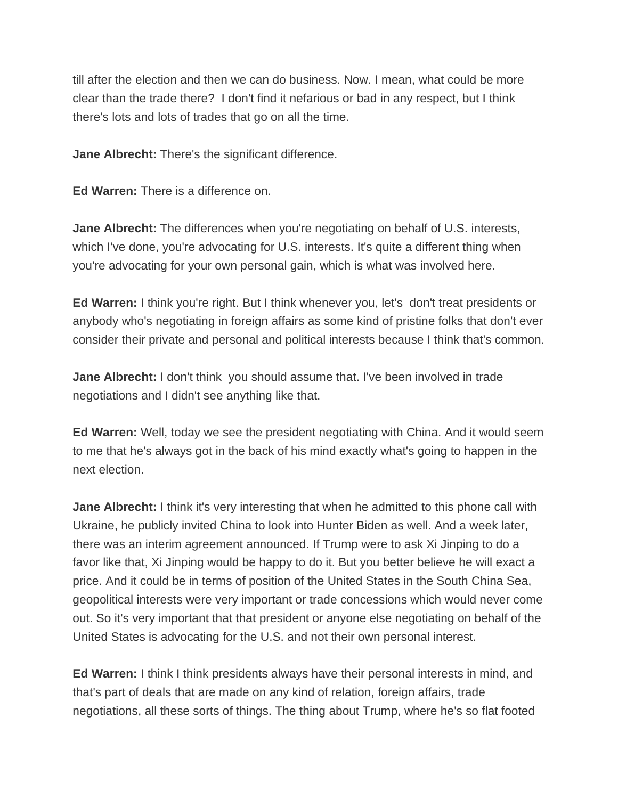till after the election and then we can do business. Now. I mean, what could be more clear than the trade there? I don't find it nefarious or bad in any respect, but I think there's lots and lots of trades that go on all the time.

**Jane Albrecht:** There's the significant difference.

**Ed Warren:** There is a difference on.

**Jane Albrecht:** The differences when you're negotiating on behalf of U.S. interests, which I've done, you're advocating for U.S. interests. It's quite a different thing when you're advocating for your own personal gain, which is what was involved here.

**Ed Warren:** I think you're right. But I think whenever you, let's don't treat presidents or anybody who's negotiating in foreign affairs as some kind of pristine folks that don't ever consider their private and personal and political interests because I think that's common.

**Jane Albrecht:** I don't think you should assume that. I've been involved in trade negotiations and I didn't see anything like that.

**Ed Warren:** Well, today we see the president negotiating with China. And it would seem to me that he's always got in the back of his mind exactly what's going to happen in the next election.

**Jane Albrecht:** I think it's very interesting that when he admitted to this phone call with Ukraine, he publicly invited China to look into Hunter Biden as well. And a week later, there was an interim agreement announced. If Trump were to ask Xi Jinping to do a favor like that, Xi Jinping would be happy to do it. But you better believe he will exact a price. And it could be in terms of position of the United States in the South China Sea, geopolitical interests were very important or trade concessions which would never come out. So it's very important that that president or anyone else negotiating on behalf of the United States is advocating for the U.S. and not their own personal interest.

**Ed Warren:** I think I think presidents always have their personal interests in mind, and that's part of deals that are made on any kind of relation, foreign affairs, trade negotiations, all these sorts of things. The thing about Trump, where he's so flat footed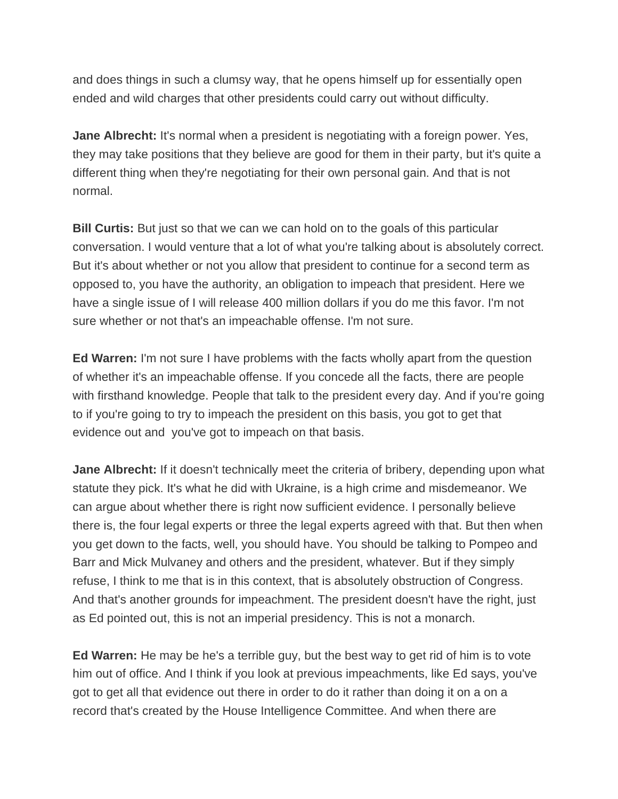and does things in such a clumsy way, that he opens himself up for essentially open ended and wild charges that other presidents could carry out without difficulty.

**Jane Albrecht:** It's normal when a president is negotiating with a foreign power. Yes, they may take positions that they believe are good for them in their party, but it's quite a different thing when they're negotiating for their own personal gain. And that is not normal.

**Bill Curtis:** But just so that we can we can hold on to the goals of this particular conversation. I would venture that a lot of what you're talking about is absolutely correct. But it's about whether or not you allow that president to continue for a second term as opposed to, you have the authority, an obligation to impeach that president. Here we have a single issue of I will release 400 million dollars if you do me this favor. I'm not sure whether or not that's an impeachable offense. I'm not sure.

**Ed Warren:** I'm not sure I have problems with the facts wholly apart from the question of whether it's an impeachable offense. If you concede all the facts, there are people with firsthand knowledge. People that talk to the president every day. And if you're going to if you're going to try to impeach the president on this basis, you got to get that evidence out and you've got to impeach on that basis.

**Jane Albrecht:** If it doesn't technically meet the criteria of bribery, depending upon what statute they pick. It's what he did with Ukraine, is a high crime and misdemeanor. We can argue about whether there is right now sufficient evidence. I personally believe there is, the four legal experts or three the legal experts agreed with that. But then when you get down to the facts, well, you should have. You should be talking to Pompeo and Barr and Mick Mulvaney and others and the president, whatever. But if they simply refuse, I think to me that is in this context, that is absolutely obstruction of Congress. And that's another grounds for impeachment. The president doesn't have the right, just as Ed pointed out, this is not an imperial presidency. This is not a monarch.

**Ed Warren:** He may be he's a terrible guy, but the best way to get rid of him is to vote him out of office. And I think if you look at previous impeachments, like Ed says, you've got to get all that evidence out there in order to do it rather than doing it on a on a record that's created by the House Intelligence Committee. And when there are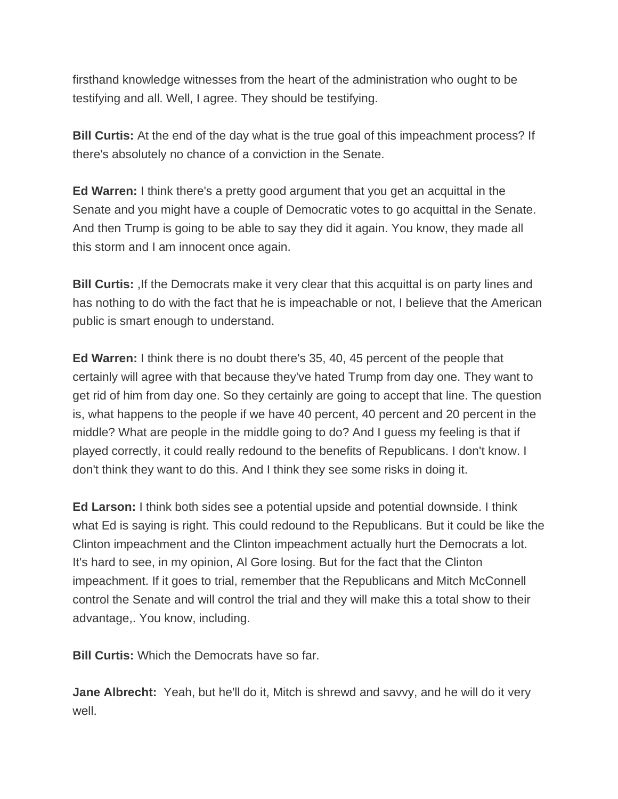firsthand knowledge witnesses from the heart of the administration who ought to be testifying and all. Well, I agree. They should be testifying.

**Bill Curtis:** At the end of the day what is the true goal of this impeachment process? If there's absolutely no chance of a conviction in the Senate.

**Ed Warren:** I think there's a pretty good argument that you get an acquittal in the Senate and you might have a couple of Democratic votes to go acquittal in the Senate. And then Trump is going to be able to say they did it again. You know, they made all this storm and I am innocent once again.

**Bill Curtis:** If the Democrats make it very clear that this acquittal is on party lines and has nothing to do with the fact that he is impeachable or not, I believe that the American public is smart enough to understand.

**Ed Warren:** I think there is no doubt there's 35, 40, 45 percent of the people that certainly will agree with that because they've hated Trump from day one. They want to get rid of him from day one. So they certainly are going to accept that line. The question is, what happens to the people if we have 40 percent, 40 percent and 20 percent in the middle? What are people in the middle going to do? And I guess my feeling is that if played correctly, it could really redound to the benefits of Republicans. I don't know. I don't think they want to do this. And I think they see some risks in doing it.

**Ed Larson:** I think both sides see a potential upside and potential downside. I think what Ed is saying is right. This could redound to the Republicans. But it could be like the Clinton impeachment and the Clinton impeachment actually hurt the Democrats a lot. It's hard to see, in my opinion, Al Gore losing. But for the fact that the Clinton impeachment. If it goes to trial, remember that the Republicans and Mitch McConnell control the Senate and will control the trial and they will make this a total show to their advantage,. You know, including.

**Bill Curtis:** Which the Democrats have so far.

**Jane Albrecht:** Yeah, but he'll do it, Mitch is shrewd and savvy, and he will do it very well.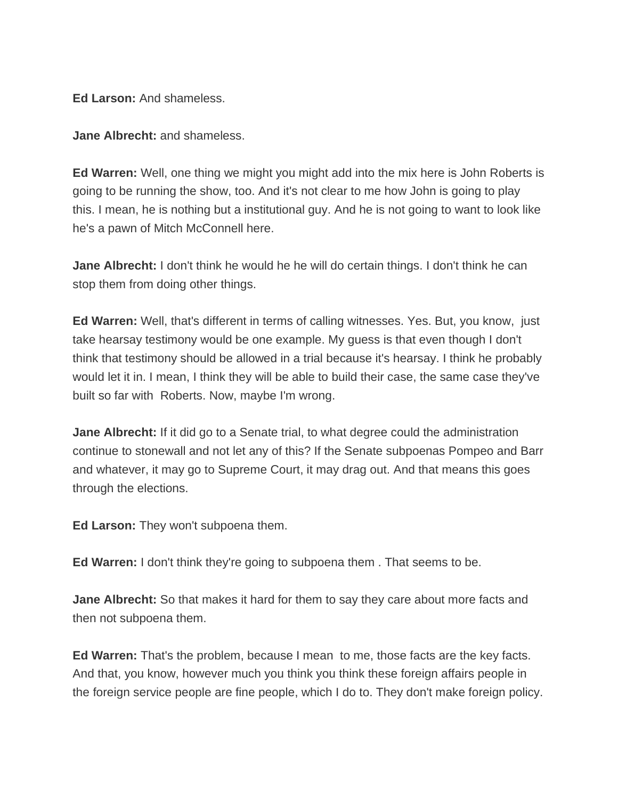**Ed Larson:** And shameless.

**Jane Albrecht:** and shameless.

**Ed Warren:** Well, one thing we might you might add into the mix here is John Roberts is going to be running the show, too. And it's not clear to me how John is going to play this. I mean, he is nothing but a institutional guy. And he is not going to want to look like he's a pawn of Mitch McConnell here.

**Jane Albrecht:** I don't think he would he he will do certain things. I don't think he can stop them from doing other things.

**Ed Warren:** Well, that's different in terms of calling witnesses. Yes. But, you know, just take hearsay testimony would be one example. My guess is that even though I don't think that testimony should be allowed in a trial because it's hearsay. I think he probably would let it in. I mean, I think they will be able to build their case, the same case they've built so far with Roberts. Now, maybe I'm wrong.

**Jane Albrecht:** If it did go to a Senate trial, to what degree could the administration continue to stonewall and not let any of this? If the Senate subpoenas Pompeo and Barr and whatever, it may go to Supreme Court, it may drag out. And that means this goes through the elections.

**Ed Larson:** They won't subpoena them.

**Ed Warren:** I don't think they're going to subpoena them . That seems to be.

**Jane Albrecht:** So that makes it hard for them to say they care about more facts and then not subpoena them.

**Ed Warren:** That's the problem, because I mean to me, those facts are the key facts. And that, you know, however much you think you think these foreign affairs people in the foreign service people are fine people, which I do to. They don't make foreign policy.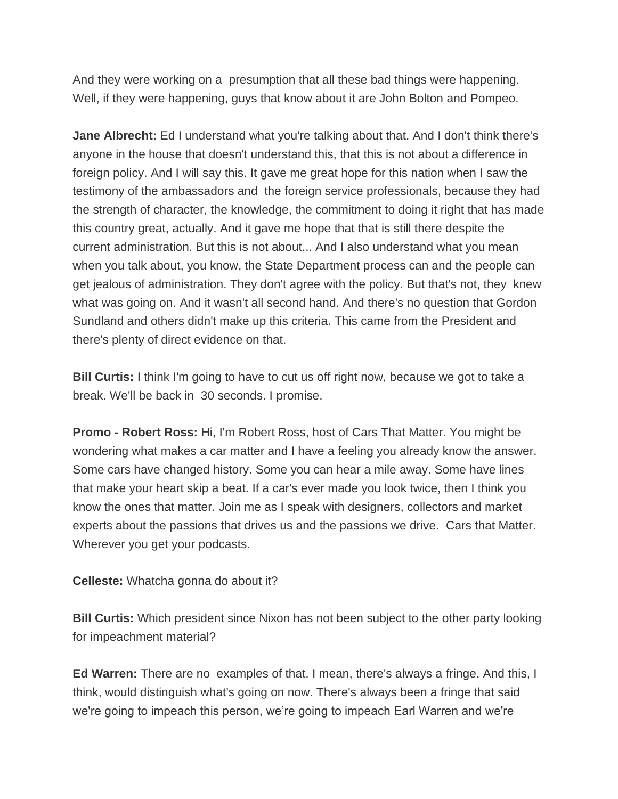And they were working on a presumption that all these bad things were happening. Well, if they were happening, guys that know about it are John Bolton and Pompeo.

**Jane Albrecht:** Ed I understand what you're talking about that. And I don't think there's anyone in the house that doesn't understand this, that this is not about a difference in foreign policy. And I will say this. It gave me great hope for this nation when I saw the testimony of the ambassadors and the foreign service professionals, because they had the strength of character, the knowledge, the commitment to doing it right that has made this country great, actually. And it gave me hope that that is still there despite the current administration. But this is not about... And I also understand what you mean when you talk about, you know, the State Department process can and the people can get jealous of administration. They don't agree with the policy. But that's not, they knew what was going on. And it wasn't all second hand. And there's no question that Gordon Sundland and others didn't make up this criteria. This came from the President and there's plenty of direct evidence on that.

**Bill Curtis:** I think I'm going to have to cut us off right now, because we got to take a break. We'll be back in 30 seconds. I promise.

**Promo - Robert Ross:** Hi, I'm Robert Ross, host of Cars That Matter. You might be wondering what makes a car matter and I have a feeling you already know the answer. Some cars have changed history. Some you can hear a mile away. Some have lines that make your heart skip a beat. If a car's ever made you look twice, then I think you know the ones that matter. Join me as I speak with designers, collectors and market experts about the passions that drives us and the passions we drive. Cars that Matter. Wherever you get your podcasts.

**Celleste:** Whatcha gonna do about it?

**Bill Curtis:** Which president since Nixon has not been subject to the other party looking for impeachment material?

**Ed Warren:** There are no examples of that. I mean, there's always a fringe. And this, I think, would distinguish what's going on now. There's always been a fringe that said we're going to impeach this person, we're going to impeach Earl Warren and we're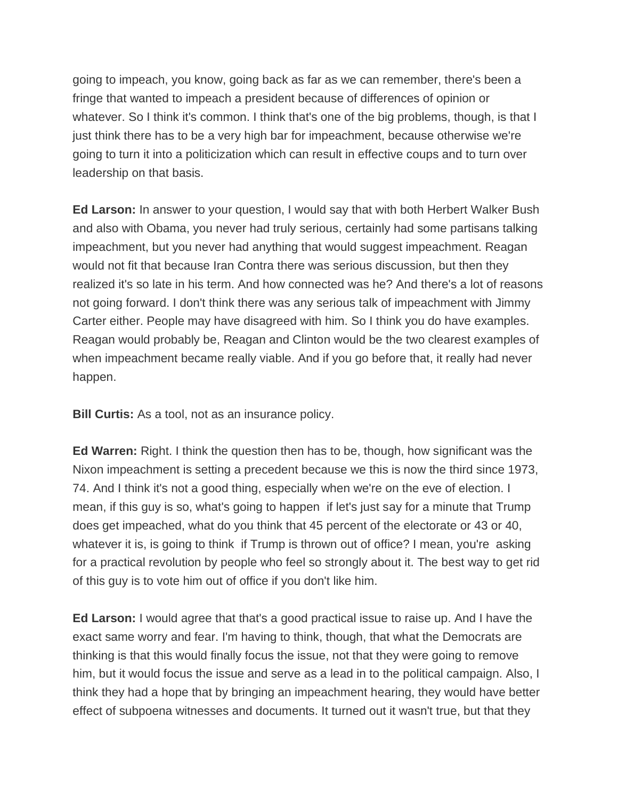going to impeach, you know, going back as far as we can remember, there's been a fringe that wanted to impeach a president because of differences of opinion or whatever. So I think it's common. I think that's one of the big problems, though, is that I just think there has to be a very high bar for impeachment, because otherwise we're going to turn it into a politicization which can result in effective coups and to turn over leadership on that basis.

**Ed Larson:** In answer to your question, I would say that with both Herbert Walker Bush and also with Obama, you never had truly serious, certainly had some partisans talking impeachment, but you never had anything that would suggest impeachment. Reagan would not fit that because Iran Contra there was serious discussion, but then they realized it's so late in his term. And how connected was he? And there's a lot of reasons not going forward. I don't think there was any serious talk of impeachment with Jimmy Carter either. People may have disagreed with him. So I think you do have examples. Reagan would probably be, Reagan and Clinton would be the two clearest examples of when impeachment became really viable. And if you go before that, it really had never happen.

**Bill Curtis:** As a tool, not as an insurance policy.

**Ed Warren:** Right. I think the question then has to be, though, how significant was the Nixon impeachment is setting a precedent because we this is now the third since 1973, 74. And I think it's not a good thing, especially when we're on the eve of election. I mean, if this guy is so, what's going to happen if let's just say for a minute that Trump does get impeached, what do you think that 45 percent of the electorate or 43 or 40, whatever it is, is going to think if Trump is thrown out of office? I mean, you're asking for a practical revolution by people who feel so strongly about it. The best way to get rid of this guy is to vote him out of office if you don't like him.

**Ed Larson:** I would agree that that's a good practical issue to raise up. And I have the exact same worry and fear. I'm having to think, though, that what the Democrats are thinking is that this would finally focus the issue, not that they were going to remove him, but it would focus the issue and serve as a lead in to the political campaign. Also, I think they had a hope that by bringing an impeachment hearing, they would have better effect of subpoena witnesses and documents. It turned out it wasn't true, but that they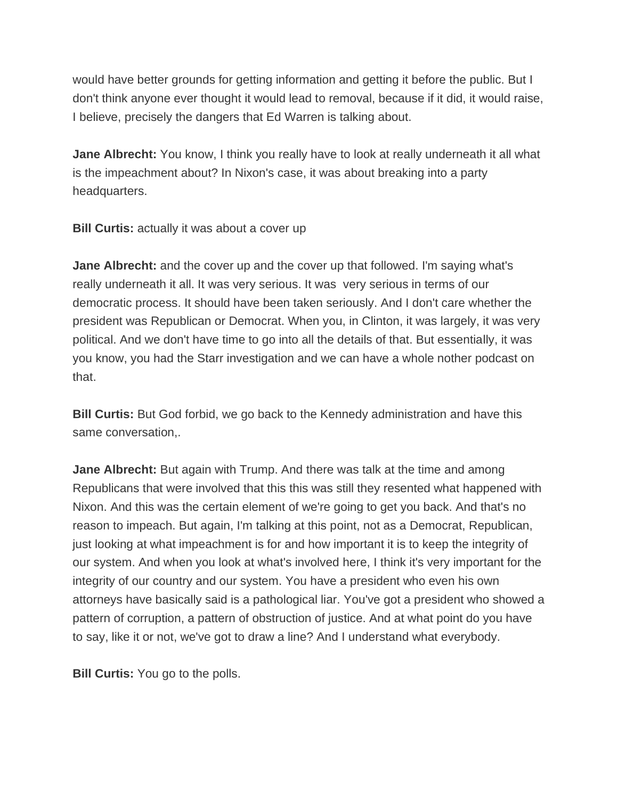would have better grounds for getting information and getting it before the public. But I don't think anyone ever thought it would lead to removal, because if it did, it would raise, I believe, precisely the dangers that Ed Warren is talking about.

**Jane Albrecht:** You know, I think you really have to look at really underneath it all what is the impeachment about? In Nixon's case, it was about breaking into a party headquarters.

**Bill Curtis:** actually it was about a cover up

**Jane Albrecht:** and the cover up and the cover up that followed. I'm saying what's really underneath it all. It was very serious. It was very serious in terms of our democratic process. It should have been taken seriously. And I don't care whether the president was Republican or Democrat. When you, in Clinton, it was largely, it was very political. And we don't have time to go into all the details of that. But essentially, it was you know, you had the Starr investigation and we can have a whole nother podcast on that.

**Bill Curtis:** But God forbid, we go back to the Kennedy administration and have this same conversation,.

**Jane Albrecht:** But again with Trump. And there was talk at the time and among Republicans that were involved that this this was still they resented what happened with Nixon. And this was the certain element of we're going to get you back. And that's no reason to impeach. But again, I'm talking at this point, not as a Democrat, Republican, just looking at what impeachment is for and how important it is to keep the integrity of our system. And when you look at what's involved here, I think it's very important for the integrity of our country and our system. You have a president who even his own attorneys have basically said is a pathological liar. You've got a president who showed a pattern of corruption, a pattern of obstruction of justice. And at what point do you have to say, like it or not, we've got to draw a line? And I understand what everybody.

**Bill Curtis:** You go to the polls.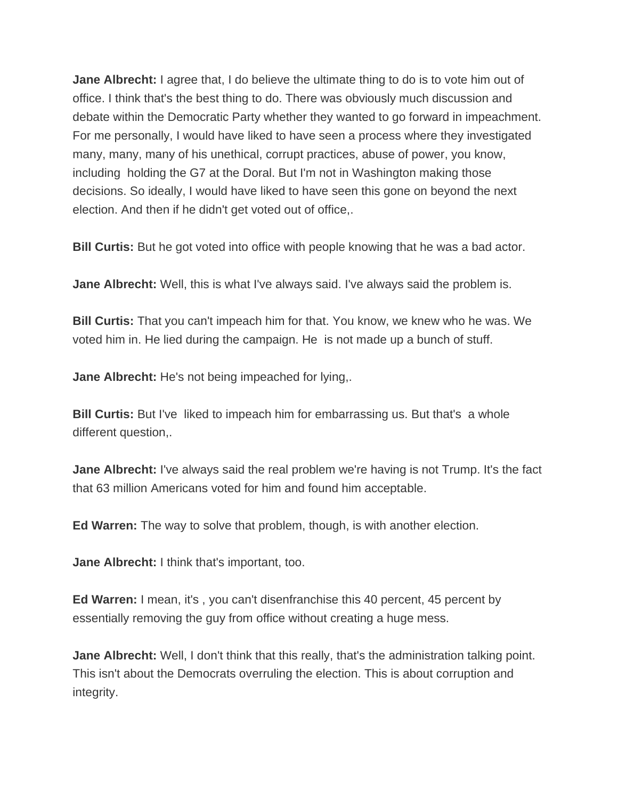**Jane Albrecht:** I agree that, I do believe the ultimate thing to do is to vote him out of office. I think that's the best thing to do. There was obviously much discussion and debate within the Democratic Party whether they wanted to go forward in impeachment. For me personally, I would have liked to have seen a process where they investigated many, many, many of his unethical, corrupt practices, abuse of power, you know, including holding the G7 at the Doral. But I'm not in Washington making those decisions. So ideally, I would have liked to have seen this gone on beyond the next election. And then if he didn't get voted out of office,.

**Bill Curtis:** But he got voted into office with people knowing that he was a bad actor.

**Jane Albrecht:** Well, this is what I've always said. I've always said the problem is.

**Bill Curtis:** That you can't impeach him for that. You know, we knew who he was. We voted him in. He lied during the campaign. He is not made up a bunch of stuff.

**Jane Albrecht:** He's not being impeached for lying,.

**Bill Curtis:** But I've liked to impeach him for embarrassing us. But that's a whole different question,.

**Jane Albrecht:** I've always said the real problem we're having is not Trump. It's the fact that 63 million Americans voted for him and found him acceptable.

**Ed Warren:** The way to solve that problem, though, is with another election.

**Jane Albrecht:** I think that's important, too.

**Ed Warren:** I mean, it's , you can't disenfranchise this 40 percent, 45 percent by essentially removing the guy from office without creating a huge mess.

**Jane Albrecht:** Well, I don't think that this really, that's the administration talking point. This isn't about the Democrats overruling the election. This is about corruption and integrity.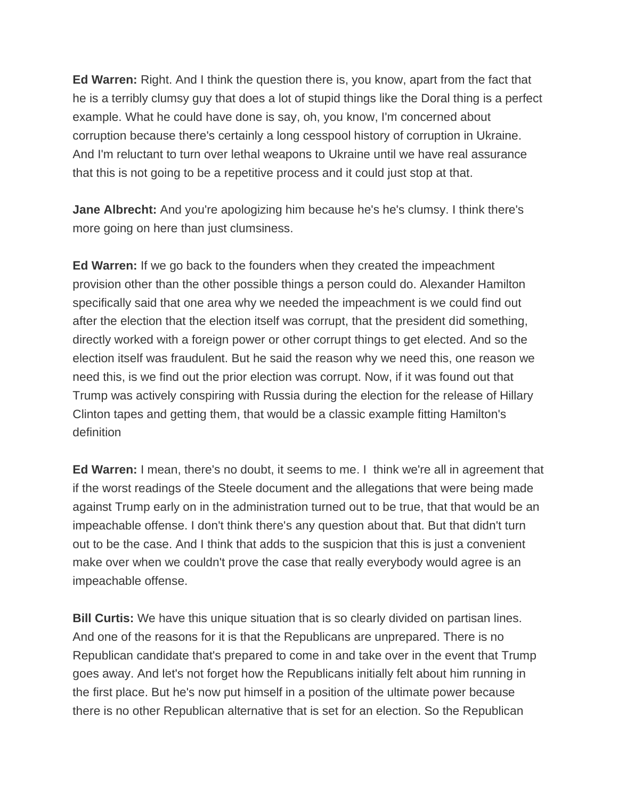**Ed Warren:** Right. And I think the question there is, you know, apart from the fact that he is a terribly clumsy guy that does a lot of stupid things like the Doral thing is a perfect example. What he could have done is say, oh, you know, I'm concerned about corruption because there's certainly a long cesspool history of corruption in Ukraine. And I'm reluctant to turn over lethal weapons to Ukraine until we have real assurance that this is not going to be a repetitive process and it could just stop at that.

Jane Albrecht: And you're apologizing him because he's he's clumsy. I think there's more going on here than just clumsiness.

**Ed Warren:** If we go back to the founders when they created the impeachment provision other than the other possible things a person could do. Alexander Hamilton specifically said that one area why we needed the impeachment is we could find out after the election that the election itself was corrupt, that the president did something, directly worked with a foreign power or other corrupt things to get elected. And so the election itself was fraudulent. But he said the reason why we need this, one reason we need this, is we find out the prior election was corrupt. Now, if it was found out that Trump was actively conspiring with Russia during the election for the release of Hillary Clinton tapes and getting them, that would be a classic example fitting Hamilton's definition

**Ed Warren:** I mean, there's no doubt, it seems to me. I think we're all in agreement that if the worst readings of the Steele document and the allegations that were being made against Trump early on in the administration turned out to be true, that that would be an impeachable offense. I don't think there's any question about that. But that didn't turn out to be the case. And I think that adds to the suspicion that this is just a convenient make over when we couldn't prove the case that really everybody would agree is an impeachable offense.

**Bill Curtis:** We have this unique situation that is so clearly divided on partisan lines. And one of the reasons for it is that the Republicans are unprepared. There is no Republican candidate that's prepared to come in and take over in the event that Trump goes away. And let's not forget how the Republicans initially felt about him running in the first place. But he's now put himself in a position of the ultimate power because there is no other Republican alternative that is set for an election. So the Republican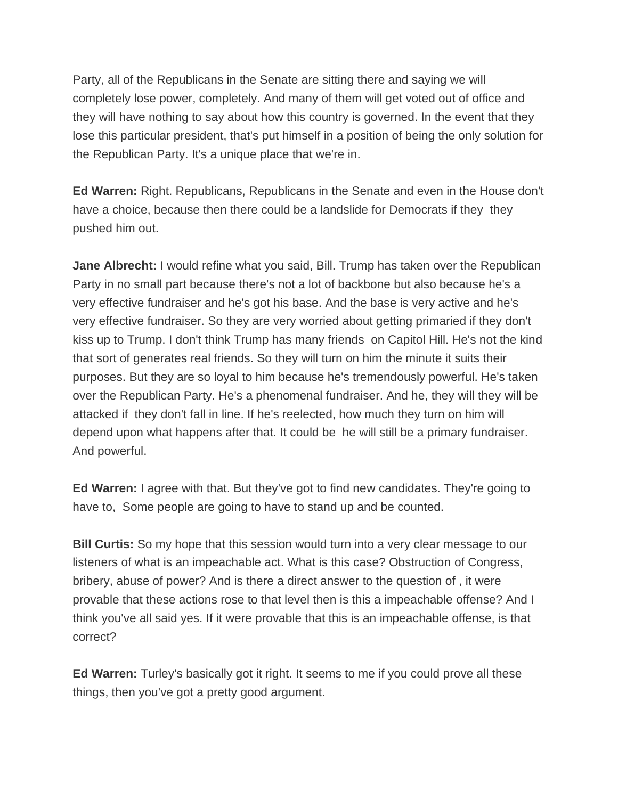Party, all of the Republicans in the Senate are sitting there and saying we will completely lose power, completely. And many of them will get voted out of office and they will have nothing to say about how this country is governed. In the event that they lose this particular president, that's put himself in a position of being the only solution for the Republican Party. It's a unique place that we're in.

**Ed Warren:** Right. Republicans, Republicans in the Senate and even in the House don't have a choice, because then there could be a landslide for Democrats if they they pushed him out.

**Jane Albrecht:** I would refine what you said, Bill. Trump has taken over the Republican Party in no small part because there's not a lot of backbone but also because he's a very effective fundraiser and he's got his base. And the base is very active and he's very effective fundraiser. So they are very worried about getting primaried if they don't kiss up to Trump. I don't think Trump has many friends on Capitol Hill. He's not the kind that sort of generates real friends. So they will turn on him the minute it suits their purposes. But they are so loyal to him because he's tremendously powerful. He's taken over the Republican Party. He's a phenomenal fundraiser. And he, they will they will be attacked if they don't fall in line. If he's reelected, how much they turn on him will depend upon what happens after that. It could be he will still be a primary fundraiser. And powerful.

**Ed Warren:** I agree with that. But they've got to find new candidates. They're going to have to, Some people are going to have to stand up and be counted.

**Bill Curtis:** So my hope that this session would turn into a very clear message to our listeners of what is an impeachable act. What is this case? Obstruction of Congress, bribery, abuse of power? And is there a direct answer to the question of , it were provable that these actions rose to that level then is this a impeachable offense? And I think you've all said yes. If it were provable that this is an impeachable offense, is that correct?

**Ed Warren:** Turley's basically got it right. It seems to me if you could prove all these things, then you've got a pretty good argument.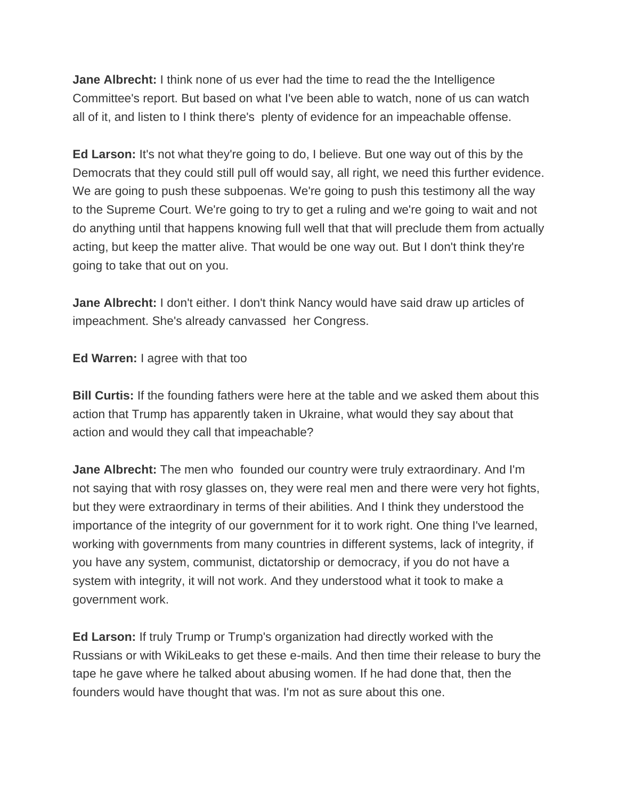**Jane Albrecht:** I think none of us ever had the time to read the the Intelligence Committee's report. But based on what I've been able to watch, none of us can watch all of it, and listen to I think there's plenty of evidence for an impeachable offense.

**Ed Larson:** It's not what they're going to do, I believe. But one way out of this by the Democrats that they could still pull off would say, all right, we need this further evidence. We are going to push these subpoenas. We're going to push this testimony all the way to the Supreme Court. We're going to try to get a ruling and we're going to wait and not do anything until that happens knowing full well that that will preclude them from actually acting, but keep the matter alive. That would be one way out. But I don't think they're going to take that out on you.

**Jane Albrecht:** I don't either. I don't think Nancy would have said draw up articles of impeachment. She's already canvassed her Congress.

**Ed Warren:** I agree with that too

**Bill Curtis:** If the founding fathers were here at the table and we asked them about this action that Trump has apparently taken in Ukraine, what would they say about that action and would they call that impeachable?

**Jane Albrecht:** The men who founded our country were truly extraordinary. And I'm not saying that with rosy glasses on, they were real men and there were very hot fights, but they were extraordinary in terms of their abilities. And I think they understood the importance of the integrity of our government for it to work right. One thing I've learned, working with governments from many countries in different systems, lack of integrity, if you have any system, communist, dictatorship or democracy, if you do not have a system with integrity, it will not work. And they understood what it took to make a government work.

**Ed Larson:** If truly Trump or Trump's organization had directly worked with the Russians or with WikiLeaks to get these e-mails. And then time their release to bury the tape he gave where he talked about abusing women. If he had done that, then the founders would have thought that was. I'm not as sure about this one.